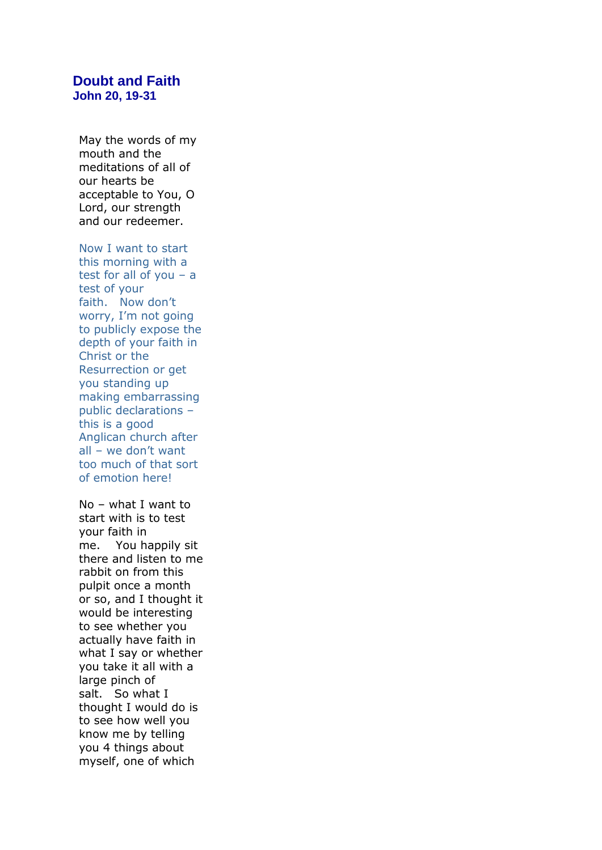## **Doubt and Faith John 20, 19-31**

May the words of my mouth and the meditations of all of our hearts be acceptable to You, O Lord, our strength and our redeemer.

Now I want to start this morning with a test for all of you – a test of your faith. Now don't worry, I'm not going to publicly expose the depth of your faith in Christ or the Resurrection or get you standing up making embarrassing public declarations – this is a good Anglican church after all – we don't want too much of that sort of emotion here!

No – what I want to start with is to test your faith in me. You happily sit there and listen to me rabbit on from this pulpit once a month or so, and I thought it would be interesting to see whether you actually have faith in what I say or whether you take it all with a large pinch of salt. So what I thought I would do is to see how well you know me by telling you 4 things about myself, one of which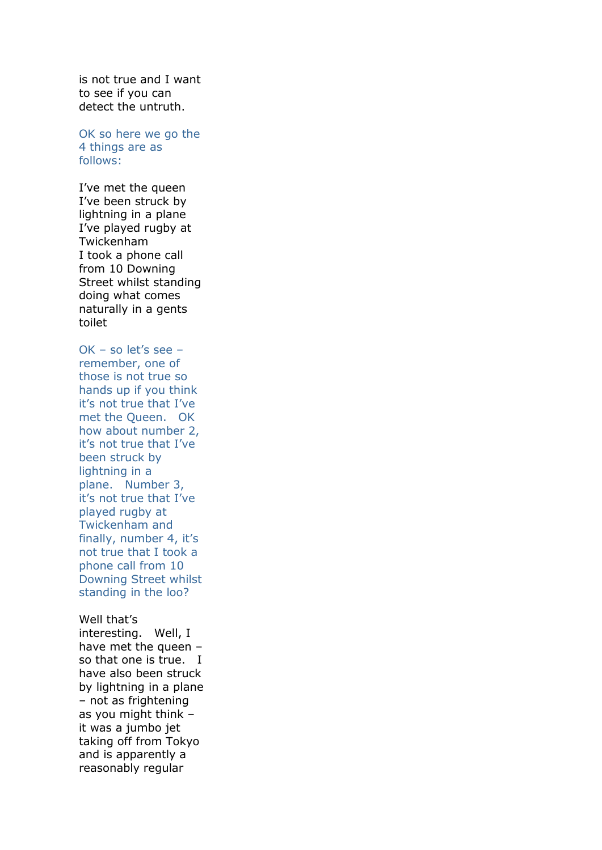is not true and I want to see if you can detect the untruth.

OK so here we go the 4 things are as follows:

I've met the queen I've been struck by lightning in a plane I've played rugby at Twickenham I took a phone call from 10 Downing Street whilst standing doing what comes naturally in a gents toilet

 $OK - so let's see$ remember, one of those is not true so hands up if you think it's not true that I've met the Queen. OK how about number 2, it's not true that I've been struck by lightning in a plane. Number 3, it's not true that I've played rugby at Twickenham and finally, number 4, it's not true that I took a phone call from 10 Downing Street whilst standing in the loo?

Well that's interesting. Well, I have met the queen  $$ so that one is true. I have also been struck by lightning in a plane – not as frightening as you might think – it was a jumbo jet taking off from Tokyo and is apparently a reasonably regular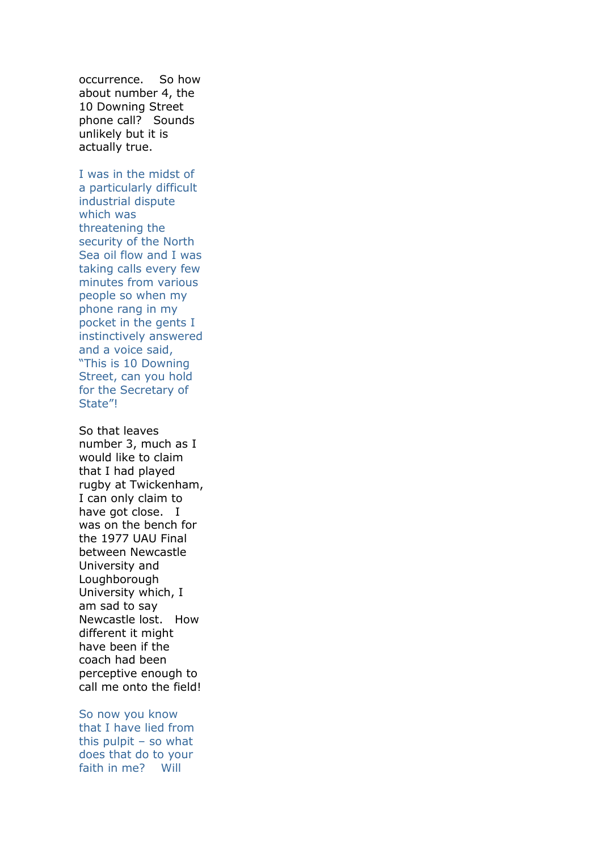occurrence. So how about number 4, the 10 Downing Street phone call? Sounds unlikely but it is actually true.

I was in the midst of a particularly difficult industrial dispute which was threatening the security of the North Sea oil flow and I was taking calls every few minutes from various people so when my phone rang in my pocket in the gents I instinctively answered and a voice said, "This is 10 Downing Street, can you hold for the Secretary of State"!

So that leaves number 3, much as I would like to claim that I had played rugby at Twickenham, I can only claim to have got close. I was on the bench for the 1977 UAU Final between Newcastle University and Loughborough University which, I am sad to say Newcastle lost. How different it might have been if the coach had been perceptive enough to call me onto the field!

So now you know that I have lied from this pulpit – so what does that do to your faith in me? Will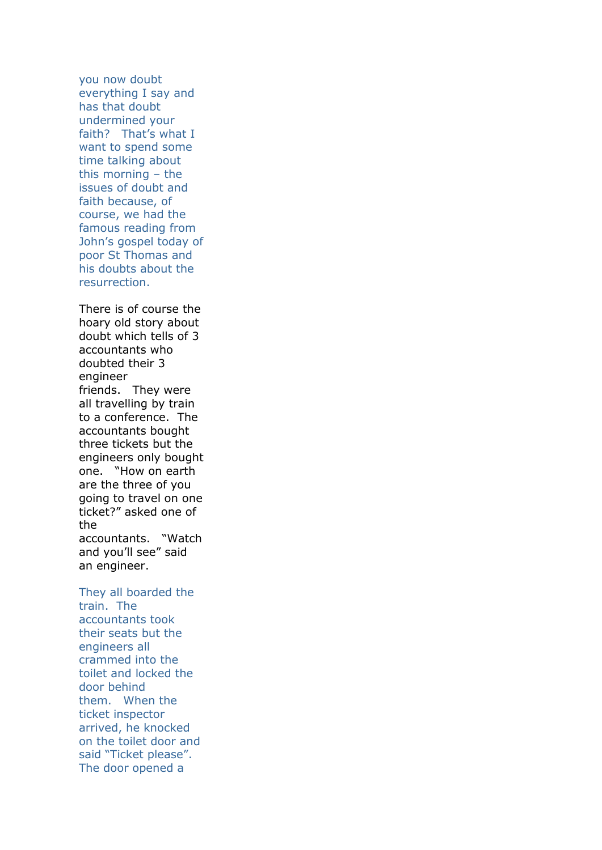you now doubt everything I say and has that doubt undermined your faith? That's what I want to spend some time talking about this morning – the issues of doubt and faith because, of course, we had the famous reading from John's gospel today of poor St Thomas and his doubts about the resurrection.

There is of course the hoary old story about doubt which tells of 3 accountants who doubted their 3 engineer friends. They were all travelling by train to a conference. The accountants bought three tickets but the engineers only bought one. "How on earth are the three of you going to travel on one ticket?" asked one of the accountants. "Watch and you'll see" said an engineer.

They all boarded the train. The accountants took their seats but the engineers all crammed into the toilet and locked the door behind them. When the ticket inspector arrived, he knocked on the toilet door and said "Ticket please". The door opened a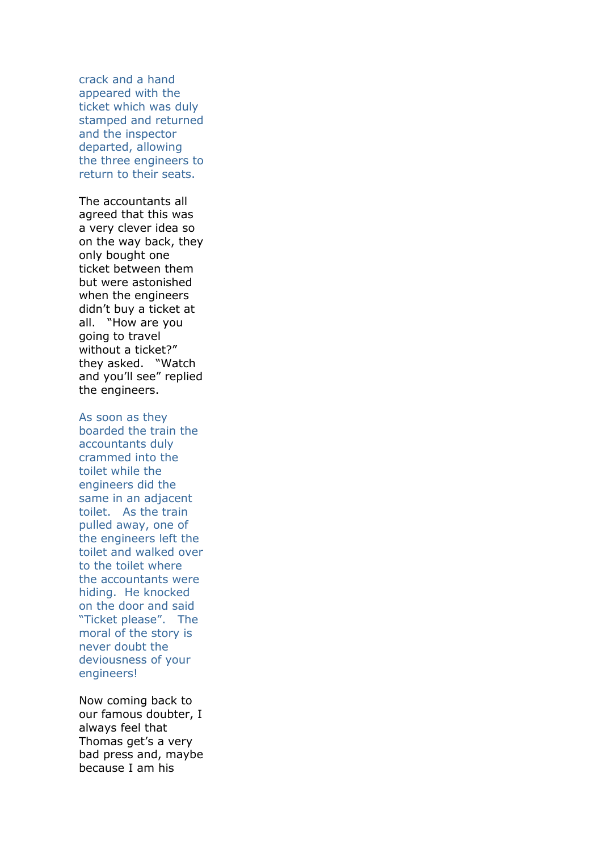crack and a hand appeared with the ticket which was duly stamped and returned and the inspector departed, allowing the three engineers to return to their seats.

The accountants all agreed that this was a very clever idea so on the way back, they only bought one ticket between them but were astonished when the engineers didn't buy a ticket at all. "How are you going to travel without a ticket?" they asked. "Watch and you'll see" replied the engineers.

## As soon as they

boarded the train the accountants duly crammed into the toilet while the engineers did the same in an adjacent toilet. As the train pulled away, one of the engineers left the toilet and walked over to the toilet where the accountants were hiding. He knocked on the door and said "Ticket please". The moral of the story is never doubt the deviousness of your engineers!

Now coming back to our famous doubter, I always feel that Thomas get's a very bad press and, maybe because I am his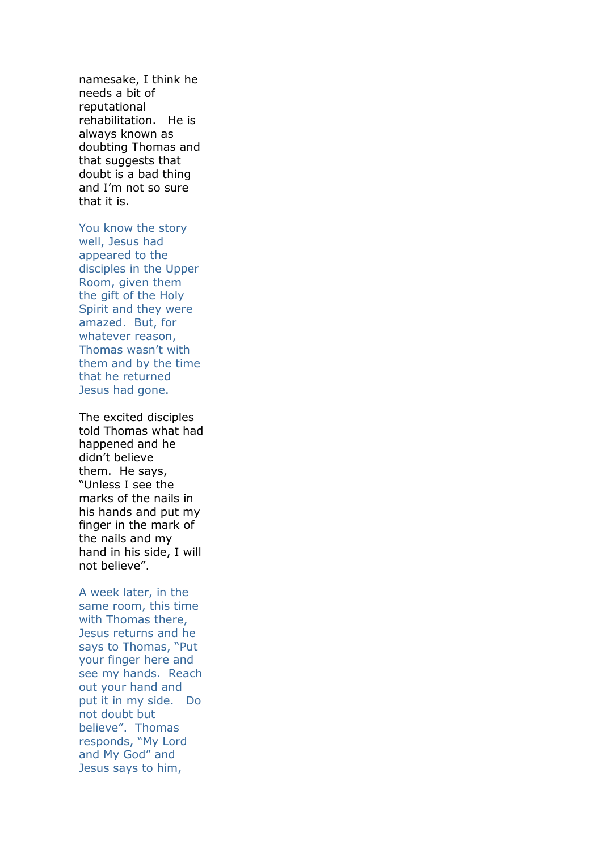namesake, I think he needs a bit of reputational rehabilitation. He is always known as doubting Thomas and that suggests that doubt is a bad thing and I'm not so sure that it is.

You know the story well, Jesus had appeared to the disciples in the Upper Room, given them the gift of the Holy Spirit and they were amazed. But, for whatever reason, Thomas wasn't with them and by the time that he returned Jesus had gone.

The excited disciples told Thomas what had happened and he didn't believe them. He says, "Unless I see the marks of the nails in his hands and put my finger in the mark of the nails and my hand in his side, I will not believe".

A week later, in the same room, this time with Thomas there, Jesus returns and he says to Thomas, "Put your finger here and see my hands. Reach out your hand and put it in my side. Do not doubt but believe". Thomas responds, "My Lord and My God" and Jesus says to him,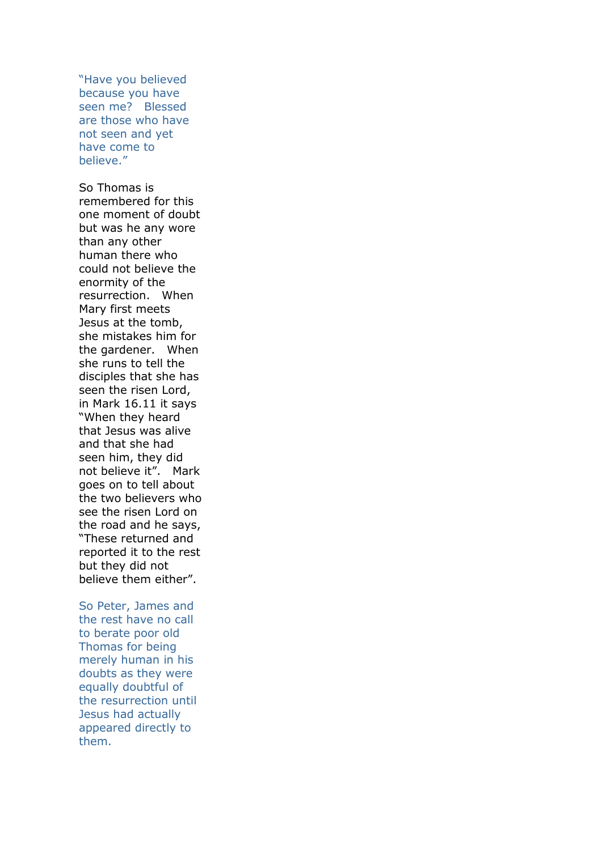"Have you believed because you have seen me? Blessed are those who have not seen and yet have come to believe."

So Thomas is remembered for this one moment of doubt but was he any wore than any other human there who could not believe the enormity of the resurrection. When Mary first meets Jesus at the tomb, she mistakes him for the gardener. When she runs to tell the disciples that she has seen the risen Lord, in Mark 16.11 it says "When they heard that Jesus was alive and that she had seen him, they did not believe it". Mark goes on to tell about the two believers who see the risen Lord on the road and he says, "These returned and reported it to the rest but they did not believe them either".

So Peter, James and the rest have no call to berate poor old Thomas for being merely human in his doubts as they were equally doubtful of the resurrection until Jesus had actually appeared directly to them.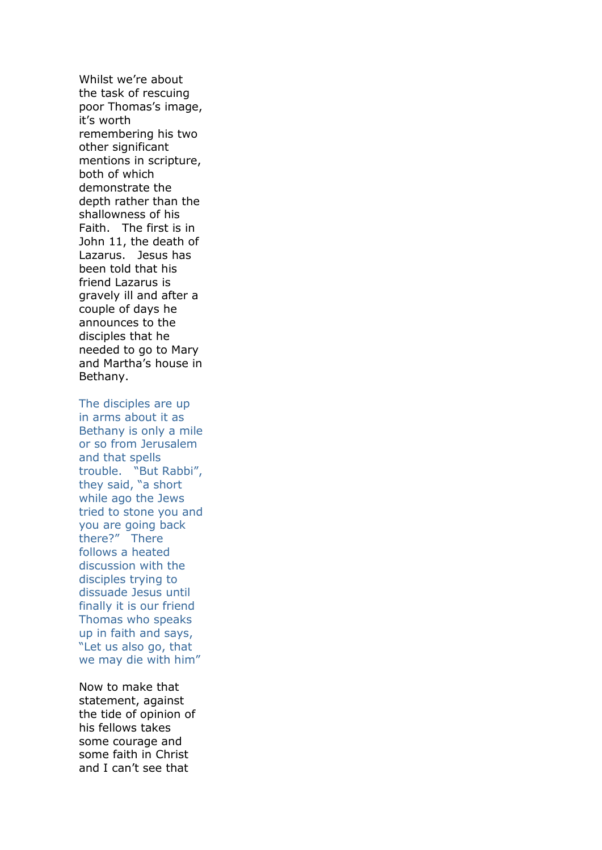Whilst we're about the task of rescuing poor Thomas's image, it's worth remembering his two other significant mentions in scripture, both of which demonstrate the depth rather than the shallowness of his Faith. The first is in John 11, the death of Lazarus. Jesus has been told that his friend Lazarus is gravely ill and after a couple of days he announces to the disciples that he needed to go to Mary and Martha's house in Bethany.

The disciples are up in arms about it as Bethany is only a mile or so from Jerusalem and that spells trouble. "But Rabbi", they said, "a short while ago the Jews tried to stone you and you are going back there?" There follows a heated discussion with the disciples trying to dissuade Jesus until finally it is our friend Thomas who speaks up in faith and says, "Let us also go, that we may die with him"

Now to make that statement, against the tide of opinion of his fellows takes some courage and some faith in Christ and I can't see that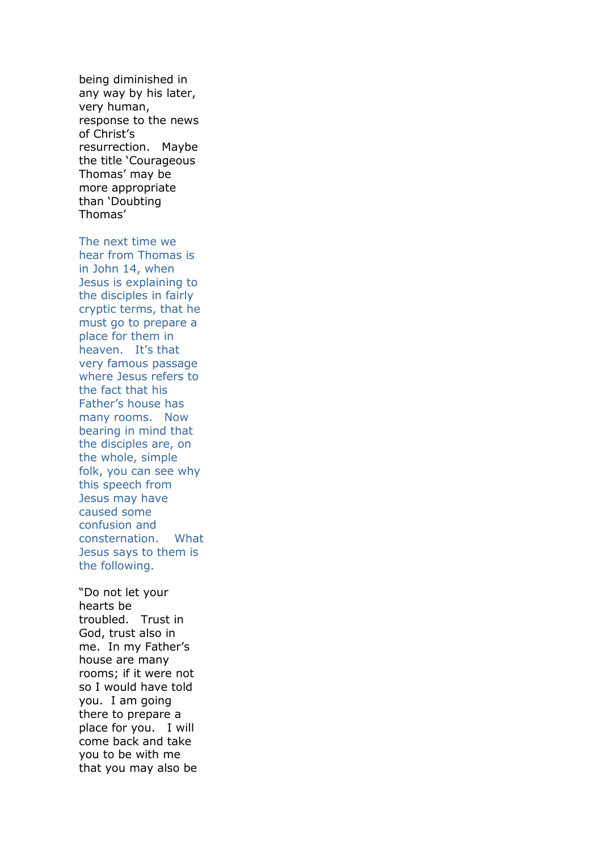being diminished in any way by his later, very human, response to the news of Christ's resurrection. Maybe the title 'Courageous Thomas' may be more appropriate than 'Doubting Thomas'

The next time we hear from Thomas is in John 14, when Jesus is explaining to the disciples in fairly cryptic terms, that he must go to prepare a place for them in heaven. It's that very famous passage where Jesus refers to the fact that his Father's house has many rooms. Now bearing in mind that the disciples are, on the whole, simple folk, you can see why this speech from Jesus may have caused some confusion and consternation. What Jesus says to them is the following.

"Do not let your hearts be troubled. Trust in God, trust also in me. In my Father's house are many rooms; if it were not so I would have told you. I am going there to prepare a place for you. I will come back and take you to be with me that you may also be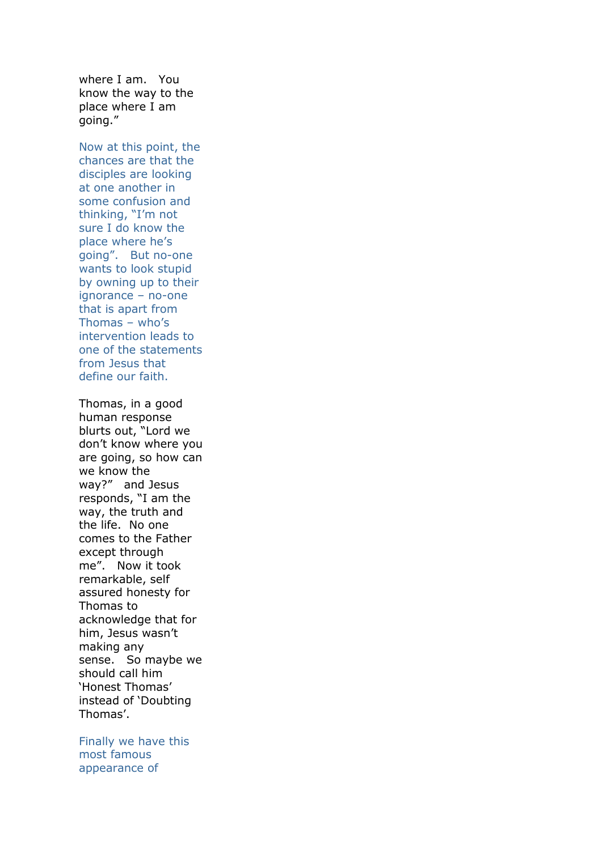where I am. You know the way to the place where I am going."

Now at this point, the chances are that the disciples are looking at one another in some confusion and thinking, "I'm not sure I do know the place where he's going". But no-one wants to look stupid by owning up to their ignorance – no-one that is apart from Thomas – who's intervention leads to one of the statements from Jesus that define our faith.

Thomas, in a good human response blurts out, "Lord we don't know where you are going, so how can we know the way?" and Jesus responds, "I am the way, the truth and the life. No one comes to the Father except through me". Now it took remarkable, self assured honesty for Thomas to acknowledge that for him, Jesus wasn't making any sense. So maybe we should call him 'Honest Thomas' instead of 'Doubting Thomas'.

Finally we have this most famous appearance of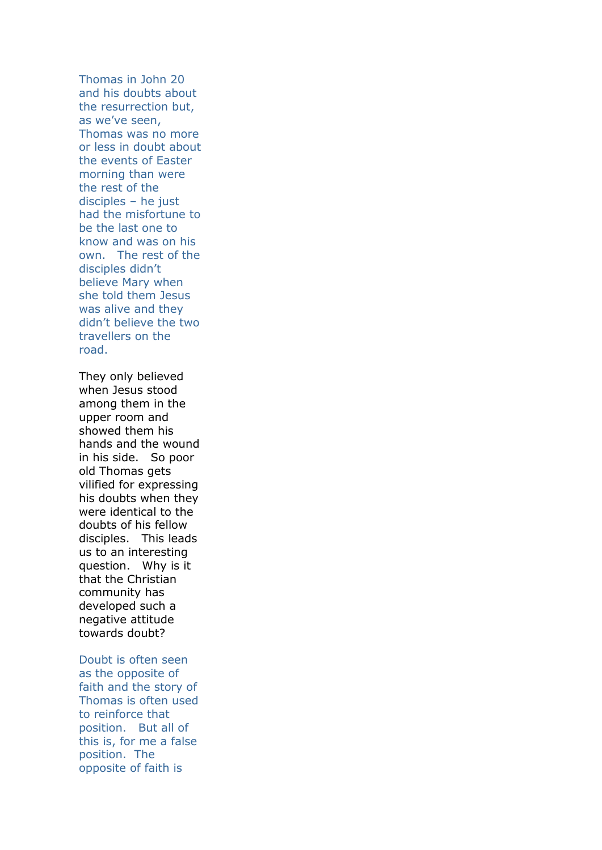Thomas in John 20 and his doubts about the resurrection but, as we've seen, Thomas was no more or less in doubt about the events of Easter morning than were the rest of the disciples – he just had the misfortune to be the last one to know and was on his own. The rest of the disciples didn't believe Mary when she told them Jesus was alive and they didn't believe the two travellers on the road.

They only believed when Jesus stood among them in the upper room and showed them his hands and the wound in his side. So poor old Thomas gets vilified for expressing his doubts when they were identical to the doubts of his fellow disciples. This leads us to an interesting question. Why is it that the Christian community has developed such a negative attitude towards doubt?

Doubt is often seen as the opposite of faith and the story of Thomas is often used to reinforce that position. But all of this is, for me a false position. The opposite of faith is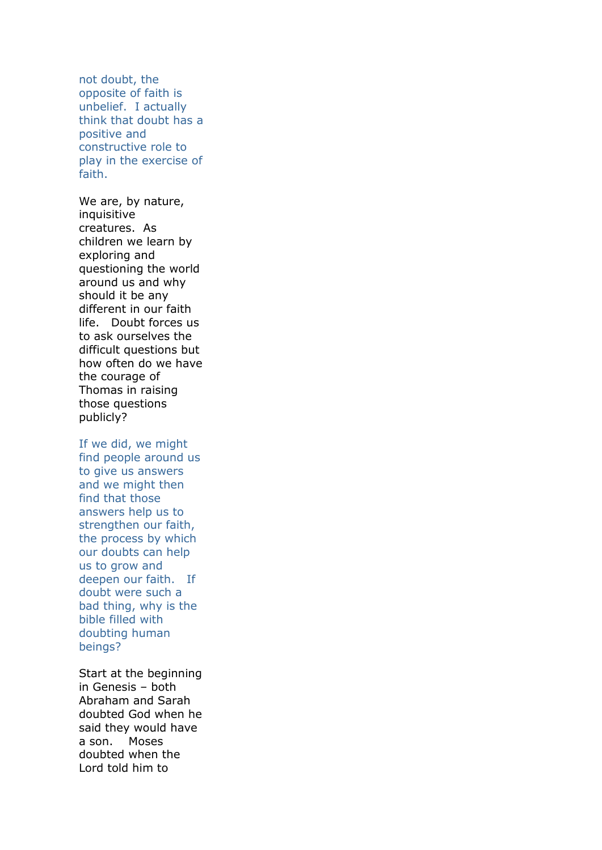not doubt, the opposite of faith is unbelief. I actually think that doubt has a positive and constructive role to play in the exercise of faith.

We are, by nature, inquisitive creatures. As children we learn by exploring and questioning the world around us and why should it be any different in our faith life. Doubt forces us to ask ourselves the difficult questions but how often do we have the courage of Thomas in raising those questions publicly?

If we did, we might find people around us to give us answers and we might then find that those answers help us to strengthen our faith, the process by which our doubts can help us to grow and deepen our faith. If doubt were such a bad thing, why is the bible filled with doubting human beings?

Start at the beginning in Genesis – both Abraham and Sarah doubted God when he said they would have a son. Moses doubted when the Lord told him to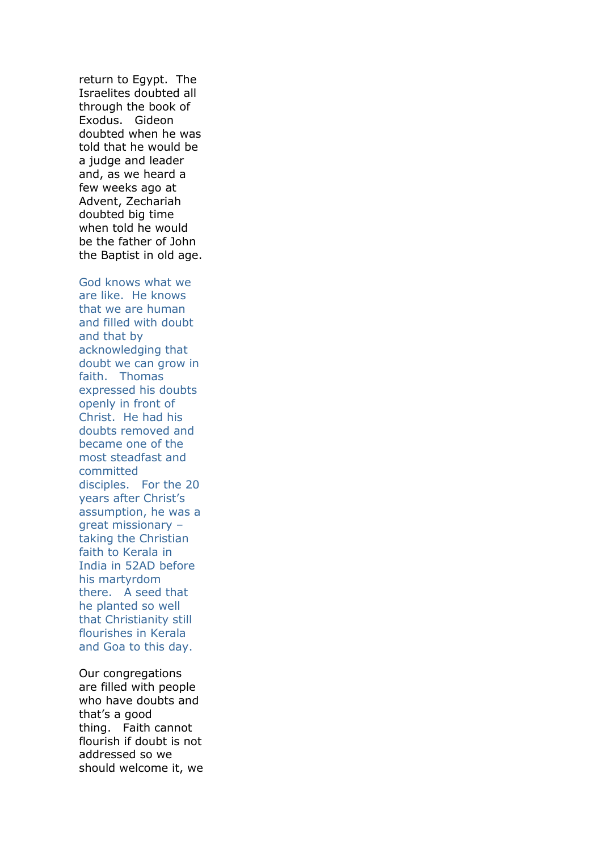return to Egypt. The Israelites doubted all through the book of Exodus. Gideon doubted when he was told that he would be a judge and leader and, as we heard a few weeks ago at Advent, Zechariah doubted big time when told he would be the father of John the Baptist in old age.

God knows what we are like. He knows that we are human and filled with doubt and that by acknowledging that doubt we can grow in faith. Thomas expressed his doubts openly in front of Christ. He had his doubts removed and became one of the most steadfast and committed disciples. For the 20 years after Christ's assumption, he was a great missionary – taking the Christian faith to Kerala in India in 52AD before his martyrdom there. A seed that he planted so well that Christianity still flourishes in Kerala and Goa to this day.

Our congregations are filled with people who have doubts and that's a good thing. Faith cannot flourish if doubt is not addressed so we should welcome it, we